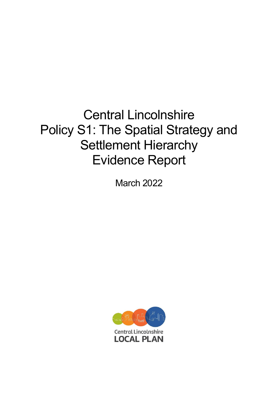# Central Lincolnshire Policy S1: The Spatial Strategy and Settlement Hierarchy Evidence Report

March 2022

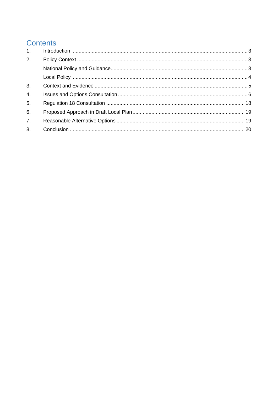# **Contents**

| 1.               |  |
|------------------|--|
| 2.               |  |
|                  |  |
|                  |  |
| 3.               |  |
| $\overline{4}$ . |  |
| 5 <sub>1</sub>   |  |
| 6.               |  |
| 7.               |  |
| 8.               |  |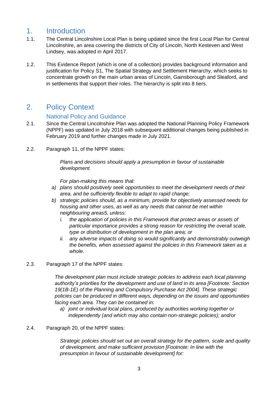### <span id="page-2-0"></span>1. Introduction

- 1.1. The Central Lincolnshire Local Plan is being updated since the first Local Plan for Central Lincolnshire, an area covering the districts of City of Lincoln, North Kesteven and West Lindsey, was adopted in April 2017.
- 1.2. This Evidence Report (which is one of a collection) provides background information and justification for Policy S1, The Spatial Strategy and Settlement Hierarchy, which seeks to concentrate growth on the main urban areas of Lincoln, Gainsborough and Sleaford, and in settlements that support their roles. The hierarchy is split into 8 tiers.

### <span id="page-2-1"></span>2. Policy Context

#### National Policy and Guidance

- <span id="page-2-2"></span>2.1. Since the Central Lincolnshire Plan was adopted the National Planning Policy Framework (NPPF) was updated in July 2018 with subsequent additional changes being published in February 2019 and further changes made in July 2021.
- 2.2. Paragraph 11, of the NPPF states:

*Plans and decisions should apply a presumption in favour of sustainable development.*

*For plan-making this means that:*

- *a) plans should positively seek opportunities to meet the development needs of their area, and be sufficiently flexible to adapt to rapid change;*
- *b) strategic policies should, as a minimum, provide for objectively assessed needs for housing and other uses, as well as any needs that cannot be met within neighbouring areas5, unless:*
	- *i. the application of policies in this Framework that protect areas or assets of particular importance provides a strong reason for restricting the overall scale, type or distribution of development in the plan area; or*
	- *ii. any adverse impacts of doing so would significantly and demonstrably outweigh the benefits, when assessed against the policies in this Framework taken as a whole.*

#### 2.3. Paragraph 17 of the NPPF states:

*The development plan must include strategic policies to address each local planning authority's priorities for the development and use of land in its area [Footnote: Section 19(1B-1E) of the Planning and Compulsory Purchase Act 2004]. These strategic policies can be produced in different ways, depending on the issues and opportunities facing each area. They can be contained in:*

*a) joint or individual local plans, produced by authorities working together or independently (and which may also contain non-strategic policies); and/or*

#### 2.4. Paragraph 20, of the NPPF states:

*Strategic policies should set out an overall strategy for the pattern, scale and quality of development, and make sufficient provision [Footnote: In line with the presumption in favour of sustainable development] for:*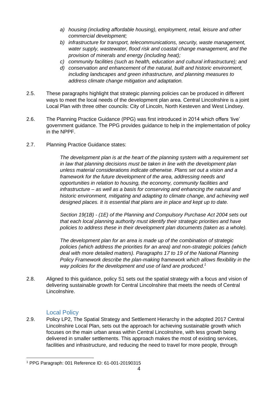- *a) housing (including affordable housing), employment, retail, leisure and other commercial development;*
- *b) infrastructure for transport, telecommunications, security, waste management, water supply, wastewater, flood risk and coastal change management, and the provision of minerals and energy (including heat);*
- *c) community facilities (such as health, education and cultural infrastructure); and*
- *d) conservation and enhancement of the natural, built and historic environment, including landscapes and green infrastructure, and planning measures to address climate change mitigation and adaptation.*
- 2.5. These paragraphs highlight that strategic planning policies can be produced in different ways to meet the local needs of the development plan area. Central Lincolnshire is a joint Local Plan with three other councils: City of Lincoln, North Kesteven and West Lindsey.
- 2.6. The Planning Practice Guidance (PPG) was first introduced in 2014 which offers 'live' government guidance. The PPG provides guidance to help in the implementation of policy in the NPPF.
- 2.7. Planning Practice Guidance states:

*The development plan is at the heart of the planning system with a requirement set in law that planning decisions must be taken in line with the development plan unless material considerations indicate otherwise. Plans set out a vision and a framework for the future development of the area, addressing needs and opportunities in relation to housing, the economy, community facilities and infrastructure – as well as a basis for conserving and enhancing the natural and historic environment, mitigating and adapting to climate change, and achieving well designed places. It is essential that plans are in place and kept up to date.*

*Section 19(1B) - (1E) of the Planning and Compulsory Purchase Act 2004 sets out that each local planning authority must identify their strategic priorities and have policies to address these in their development plan documents (taken as a whole).*

*The development plan for an area is made up of the combination of strategic policies (which address the priorities for an area) and non-strategic policies (which deal with more detailed matters). Paragraphs 17 to 19 of the National Planning Policy Framework describe the plan-making framework which allows flexibility in the way policies for the development and use of land are produced.<sup>1</sup>*

2.8. Aligned to this guidance, policy S1 sets out the spatial strategy with a focus and vision of delivering sustainable growth for Central Lincolnshire that meets the needs of Central Lincolnshire.

#### Local Policy

<span id="page-3-0"></span>2.9. Policy LP2, The Spatial Strategy and Settlement Hierarchy in the adopted 2017 Central Lincolnshire Local Plan, sets out the approach for achieving sustainable growth which focuses on the main urban areas within Central Lincolnshire, with less growth being delivered in smaller settlements. This approach makes the most of existing services, facilities and infrastructure, and reducing the need to travel for more people, through

<sup>1</sup> PPG Paragraph: 001 Reference ID: 61-001-20190315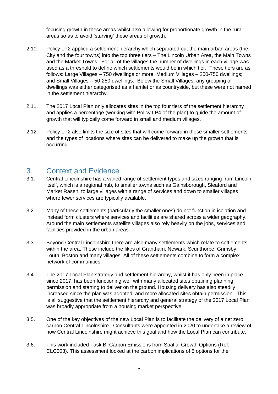focusing growth in these areas whilst also allowing for proportionate growth in the rural areas so as to avoid 'starving' these areas of growth.

- 2.10. Policy LP2 applied a settlement hierarchy which separated out the main urban areas (the City and the four towns) into the top three tiers – The Lincoln Urban Area, the Main Towns and the Market Towns. For all of the villages the number of dwellings in each village was used as a threshold to define which settlements would be in which tier. These tiers are as follows: Large Villages – 750 dwellings or more; Medium Villages – 250-750 dwellings; and Small Villages – 50-250 dwellings. Below the Small Villages, any grouping of dwellings was either categorised as a hamlet or as countryside, but these were not named in the settlement hierarchy.
- 2.11. The 2017 Local Plan only allocates sites in the top four tiers of the settlement hierarchy and applies a percentage (working with Policy LP4 of the plan) to guide the amount of growth that will typically come forward in small and medium villages.
- 2.12. Policy LP2 also limits the size of sites that will come forward in these smaller settlements and the types of locations where sites can be delivered to make up the growth that is occurring.

# <span id="page-4-0"></span>3. Context and Evidence

- 3.1. Central Lincolnshire has a varied range of settlement types and sizes ranging from Lincoln itself, which is a regional hub, to smaller towns such as Gainsborough, Sleaford and Market Rasen, to large villages with a range of services and down to smaller villages where fewer services are typically available.
- 3.2. Many of these settlements (particularly the smaller ones) do not function in isolation and instead form clusters where services and facilities are shared across a wider geography. Around the main settlements satellite villages also rely heavily on the jobs, services and facilities provided in the urban areas.
- 3.3. Beyond Central Lincolnshire there are also many settlements which relate to settlements within the area. These include the likes of Grantham, Newark, Scunthorpe, Grimsby, Louth, Boston and many villages. All of these settlements combine to form a complex network of communities.
- 3.4. The 2017 Local Plan strategy and settlement hierarchy, whilst it has only been in place since 2017, has been functioning well with many allocated sites obtaining planning permission and starting to deliver on the ground. Housing delivery has also steadily increased since the plan was adopted, and more allocated sites obtain permission. This is all suggestive that the settlement hierarchy and general strategy of the 2017 Local Plan was broadly appropriate from a housing market perspective.
- 3.5. One of the key objectives of the new Local Plan is to facilitate the delivery of a net zero carbon Central Lincolnshire. Consultants were appointed in 2020 to undertake a review of how Central Lincolnshire might achieve this goal and how the Local Plan can contribute.
- 3.6. This work included Task B: Carbon Emissions from Spatial Growth Options (Ref: CLC003). This assessment looked at the carbon implications of 5 options for the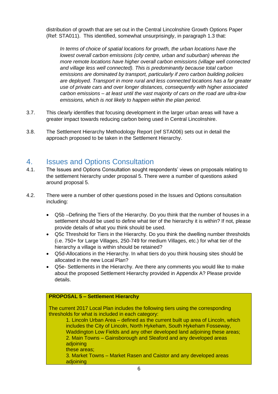distribution of growth that are set out in the Central Lincolnshire Growth Options Paper (Ref: STA011). This identified, somewhat unsurprisingly, in paragraph 1.3 that:

*In terms of choice of spatial locations for growth, the urban locations have the lowest overall carbon emissions (city centre, urban and suburban) whereas the more remote locations have higher overall carbon emissions (village well connected and village less well connected). This is predominantly because total carbon emissions are dominated by transport, particularly if zero carbon building policies are deployed. Transport in more rural and less connected locations has a far greater use of private cars and over longer distances, consequently with higher associated carbon emissions – at least until the vast majority of cars on the road are ultra-low emissions, which is not likely to happen within the plan period.*

- 3.7. This clearly identifies that focusing development in the larger urban areas will have a greater impact towards reducing carbon being used in Central Lincolnshire.
- 3.8. The Settlement Hierarchy Methodology Report (ref STA006) sets out in detail the approach proposed to be taken in the Settlement Hierarchy.

### <span id="page-5-0"></span>4. Issues and Options Consultation

- 4.1. The Issues and Options Consultation sought respondents' views on proposals relating to the settlement hierarchy under proposal 5. There were a number of questions asked around proposal 5.
- 4.2. There were a number of other questions posed in the Issues and Options consultation including:
	- Q5b –Defining the Tiers of the Hierarchy. Do you think that the number of houses in a settlement should be used to define what tier of the hierarchy it is within? If not, please provide details of what you think should be used.
	- Q5c Threshold for Tiers in the Hierarchy. Do you think the dwelling number thresholds (i.e. 750+ for Large Villages, 250-749 for medium Villages, etc.) for what tier of the hierarchy a village is within should be retained?
	- Q5d-Allocations in the Hierarchy. In what tiers do you think housing sites should be allocated in the new Local Plan?
	- Q5e- Settlements in the Hierarchy. Are there any comments you would like to make about the proposed Settlement Hierarchy provided in Appendix A? Please provide details.

#### **PROPOSAL 5 – Settlement Hierarchy**

The current 2017 Local Plan includes the following tiers using the corresponding thresholds for what is included in each category:

1. Lincoln Urban Area – defined as the current built up area of Lincoln, which includes the City of Lincoln, North Hykeham, South Hykeham Fosseway, Waddington Low Fields and any other developed land adjoining these areas; 2. Main Towns – Gainsborough and Sleaford and any developed areas adjoining

#### these areas;

3. Market Towns – Market Rasen and Caistor and any developed areas adioining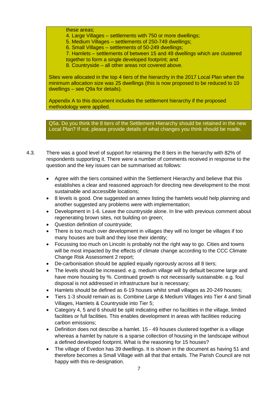these areas;

4. Large Villages – settlements with 750 or more dwellings;

5. Medium Villages – settlements of 250-749 dwellings;

6. Small Villages – settlements of 50-249 dwellings;

7. Hamlets – settlements of between 15 and 49 dwellings which are clustered together to form a single developed footprint; and

8. Countryside – all other areas not covered above.

Sites were allocated in the top 4 tiers of the hierarchy in the 2017 Local Plan when the minimum allocation size was 25 dwellings (this is now proposed to be reduced to 10 dwellings – see Q9a for details).

Appendix A to this document includes the settlement hierarchy if the proposed methodology were applied.

Q5a. Do you think the 8 tiers of the Settlement Hierarchy should be retained in the new Local Plan? If not, please provide details of what changes you think should be made.

- 4.3. There was a good level of support for retaining the 8 tiers in the hierarchy with 82% of respondents supporting it. There were a number of comments received in response to the question and the key issues can be summarised as follows:
	- Agree with the tiers contained within the Settlement Hierarchy and believe that this establishes a clear and reasoned approach for directing new development to the most sustainable and accessible locations;
	- 8 levels is good. One suggested an annex listing the hamlets would help planning and another suggested any problems were with implementation;
	- Development in 1-6. Leave the countryside alone. In line with previous comment about regenerating brown sites, not building on green;
	- Question definition of countryside;
	- There is too much over development in villages they will no longer be villages if too many houses are built and they lose their identity;
	- Focussing too much on Lincoln is probably not the right way to go. Cities and towns will be most impacted by the effects of climate change according to the CCC Climate Change Risk Assessment 2 report;
	- De-carbonisation should be applied equally rigorously across all 8 tiers;
	- The levels should be increased. e.g. medium village will by default become large and have more housing by %. Continued growth is not necessarily sustainable. e.g. foul disposal is not addressed in infrastructure but is necessary;
	- Hamlets should be defined as 6-19 houses whilst small villages as 20-249 houses;
	- Tiers 1-3 should remain as is. Combine Large & Medium Villages into Tier 4 and Small Villages, Hamlets & Countryside into Tier 5;
	- Category 4, 5 and 6 should be split indicating either no facilities in the village, limited facilities or full facilities. This enables development in areas with facilities reducing carbon emissions;
	- Definition does not describe a hamlet. 15 49 houses clustered together is a village whereas a hamlet by nature is a sparse collection of housing in the landscape without a defined developed footprint. What is the reasoning for 15 houses?
	- The village of Evedon has 39 dwellings. It is shown in the document as having 51 and therefore becomes a Small Village with all that that entails. The Parish Council are not happy with this re-designation.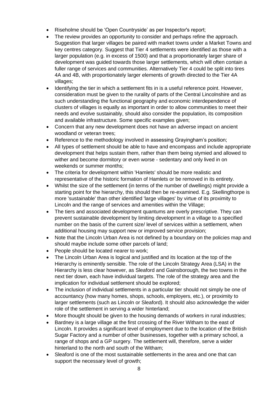- Riseholme should be 'Open Countryside' as per Inspector's report;
- The review provides an opportunity to consider and perhaps refine the approach. Suggestion that larger villages be paired with market towns under a Market Towns and key centres category. Suggest that Tier 4 settlements were identified as those with a larger population (e.g. in excess of 1500) and that a proportionately larger share of development was guided towards those larger settlements, which will often contain a fuller range of services and communities. Alternatively Tier 4 could be split into tires 4A and 4B, with proportionately larger elements of growth directed to the Tier 4A villages;
- Identifying the tier in which a settlement fits in is a useful reference point. However, consideration must be given to the rurality of parts of the Central Lincolnshire and as such understanding the functional geography and economic interdependence of clusters of villages is equally as important in order to allow communities to meet their needs and evolve sustainably, should also consider the population, its composition and available infrastructure. Some specific examples given;
- Concern that any new development does not have an adverse impact on ancient woodland or veteran trees;
- Reference to the methodology involved in assessing Grayingham's position;
- All types of settlement should be able to have and encompass and include appropriate development that helps sustain them, rather than them being stymied and allowed to wither and become dormitory or even worse - sedentary and only lived in on weekends or summer months;
- The criteria for development within 'Hamlets' should be more realistic and representative of the historic formation of Hamlets or be removed in its entirety.
- Whilst the size of the settlement (in terms of the number of dwellings) might provide a starting point for the hierarchy, this should then be re-examined. E.g. Skellingthorpe is more 'sustainable' than other identified 'large villages' by virtue of its proximity to Lincoln and the range of services and amenities within the Village;
- The tiers and associated development quantums are overly prescriptive. They can prevent sustainable development by limiting development in a village to a specified number on the basis of the current size/ level of services within a settlement, when additional housing may support new or improved service provision;
- Note that the Lincoln Urban Area is not defined by a boundary on the policies map and should maybe include some other parcels of land;
- People should be located nearer to work;
- The Lincoln Urban Area is logical and justified and its location at the top of the Hierarchy is eminently sensible. The role of the Lincoln Strategy Area (LSA) in the Hierarchy is less clear however, as Sleaford and Gainsborough, the two towns in the next tier down, each have individual targets. The role of the strategy area and the implication for individual settlement should be explored;
- The inclusion of individual settlements in a particular tier should not simply be one of accountancy (how many homes, shops, schools, employers, etc.), or proximity to larger settlements (such as Lincoln or Sleaford). It should also acknowledge the wider role of the settlement in serving a wider hinterland;
- More thought should be given to the housing demands of workers in rural industries;
- Bardney is a large village at the first crossing of the River Witham to the east of Lincoln. It provides a significant level of employment due to the location of the British Sugar Factory and a number of other businesses, together with a primary school, a range of shops and a GP surgery. The settlement will, therefore, serve a wider hinterland to the north and south of the Witham;
- Sleaford is one of the most sustainable settlements in the area and one that can support the necessary level of growth;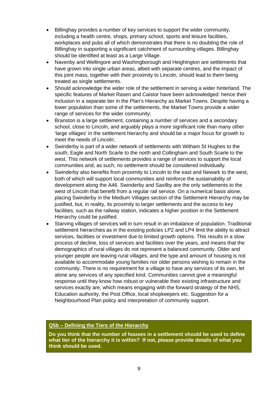- Billinghay provides a number of key services to support the wider community, including a health centre, shops, primary school, sports and leisure facilities, workplaces and pubs all of which demonstrates that there is no doubting the role of Billinghay in supporting a significant catchment of surrounding villages. Billinghay should be identified at least as a Large Village.
- Navenby and Wellingore and Washingborough and Heighington are settlements that have grown into single urban areas, albeit with separate centres, and the impact of this joint mass, together with their proximity to Lincoln, should lead to them being treated as single settlements.
- Should acknowledge the wider role of the settlement in serving a wider hinterland. The specific features of Market Rasen and Caistor have been acknowledged: hence their inclusion in a separate tier in the Plan's Hierarchy as Market Towns. Despite having a lower population than some of the settlements, the Market Towns provide a wider range of services for the wider community;
- Branston is a large settlement, containing a number of services and a secondary school, close to Lincoln, and arguably plays a more significant role than many other 'large villages' in the settlement hierarchy and should be a major focus for growth to meet the needs of Lincoln;
- Swinderby is part of a wider network of settlements with Witham St Hughes to the south, Eagle and North Scarle to the north and Collingham and South Scarle to the west. This network of settlements provides a range of services to support the local communities and, as such, no settlement should be considered individually.
- Swinderby also benefits from proximity to Lincoln to the east and Newark to the west, both of which will support local communities and reinforce the sustainability of development along the A46. Swinderby and Saxilby are the only settlements to the west of Lincoln that benefit from a regular rail service. On a numerical basis alone, placing Swinderby in the Medium Villages section of the Settlement Hierarchy may be justified, but, in reality, its proximity to larger settlements and the access to key facilities, such as the railway station, indicates a higher position in the Settlement Hierarchy could be justified.
- Starving villages of services will in turn result in an imbalance of population. Traditional settlement hierarchies as in the existing policies LP2 and LP4 limit the ability to attract services, facilities or investment due to limited growth options. This results in a slow process of decline, loss of services and facilities over the years, and means that the demographics of rural villages do not represent a balanced community. Older and younger people are leaving rural villages, and the type and amount of housing is not available to accommodate young families nor older persons wishing to remain in the community. There is no requirement for a village to have any services of its own, let alone any services of any specified kind. Communities cannot give a meaningful response until they know how robust or vulnerable their existing infrastructure and services exactly are, which means engaging with the forward strategy of the NHS, Education authority, the Post Office, local shopkeepers etc. Suggestion for a Neighbourhood Plan policy and interpretation of community support.

#### **Q5b – Defining the Tiers of the Hierarchy**

**Do you think that the number of houses in a settlement should be used to define what tier of the hierarchy it is within? If not, please provide details of what you think should be used.**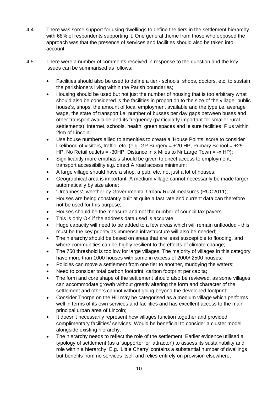- 4.4. There was some support for using dwellings to define the tiers in the settlement hierarchy with 68% of respondents supporting it. One general theme from those who opposed the approach was that the presence of services and facilities should also be taken into account.
- 4.5. There were a number of comments received in response to the question and the key issues can be summarised as follows:
	- Facilities should also be used to define a tier schools, shops, doctors, etc. to sustain the parishioners living within the Parish boundaries;
	- Housing should be used but not just the number of housing that is too arbitrary what should also be considered is the facilities in proportion to the size of the village: public house's, shops, the amount of local employment available and the type i.e. average wage, the state of transport i.e. number of busses per day gaps between buses and other transport available and its frequency (particularly important for smaller rural settlements), internet, schools, health, green spaces and leisure facilities. Plus within 2km of Lincoln;
	- Use house numbers allied to amenities to create a 'House Points' score to consider likelihood of visitors, traffic, etc. (e.g. GP Surgery =  $+20$  HP, Primary School =  $+25$ HP, No Retail outlets  $=$  -30HP. Distance in x Miles to Nr Large Town  $=$  -x HP):
	- Significantly more emphasis should be given to direct access to employment, transport accessibility e.g. direct A road access minimum;
	- A large village should have a shop, a pub, etc. not just a lot of houses;
	- Geographical area is important. A medium village cannot necessarily be made larger automatically by size alone;
	- 'Urbanness', whether by Governmental Urban/ Rural measures (RUC2011);
	- Houses are being constantly built at quite a fast rate and current data can therefore not be used for this purpose;
	- Houses should be the measure and not the number of council tax payers.
	- This is only OK if the address data used is accurate;
	- Huge capacity will need to be added to a few areas which will remain unflooded this must be the key priority as immense infrastructure will also be needed;
	- The hierarchy should be based on areas that are least susceptible to flooding, and where communities can be highly resilient to the effects of climate change;
	- The 750 threshold is too low for large villages. The majority of villages in this category have more than 1000 houses with some in excess of 2000/ 2500 houses;
	- Policies can move a settlement from one tier to another, muddying the waters;
	- Need to consider total carbon footprint; carbon footprint per capita;
	- The form and core shape of the settlement should also be reviewed, as some villages can accommodate growth without greatly altering the form and character of the settlement and others cannot without going beyond the developed footprint;
	- Consider Thorpe on the Hill may be categorised as a medium village which performs well in terms of its own services and facilities and has excellent access to the main principal urban area of Lincoln;
	- It doesn't necessarily represent how villages function together and provided complimentary facilities/ services. Would be beneficial to consider a cluster model alongside existing hierarchy.
	- The hierarchy needs to reflect the role of the settlement. Earlier evidence utilised a typology of settlement (as a 'supporter 'or 'attractor') to assess its sustainability and role within a hierarchy. E.g. 'Little Cherry' contains a substantial number of dwellings but benefits from no services itself and relies entirely on provision elsewhere;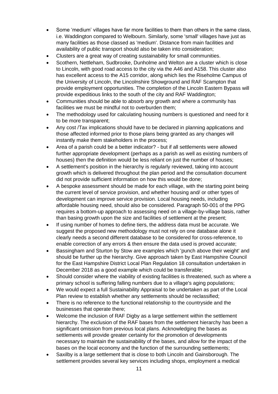- Some 'medium' villages have far more facilities to them than others in the same class, i.e. Waddington compared to Welbourn. Similarly, some 'small' villages have just as many facilities as those classed as 'medium'. Distance from main facilities and availability of public transport should also be taken into consideration;
- Clusters are a great way of creating sustainability for small communities.
- Scothern, Nettleham, Sudbrooke, Dunholme and Welton are a cluster which is close to Lincoln, with good road access to the city via the A46 and A158. This cluster also has excellent access to the A15 corridor, along which lies the Riseholme Campus of the University of Lincoln, the Lincolnshire Showground and RAF Scampton that provide employment opportunities. The completion of the Lincoln Eastern Bypass will provide expeditious links to the south of the city and RAF Waddington;
- Communities should be able to absorb any growth and where a community has facilities we must be mindful not to overburden them;
- The methodology used for calculating housing numbers is questioned and need for it to be more transparent;
- Any cost /Tax implications should have to be declared in planning applications and those affected informed prior to those plans being granted as any changes will instantly make them stakeholders in the process;
- Area of a parish could be a better indicator? but if all settlements were allowed further appropriate development (perhaps as a parish as well as existing numbers of houses) then the definition would be less reliant on just the number of houses;
- A settlement's position in the hierarchy is regularly reviewed, taking into account growth which is delivered throughout the plan period and the consultation document did not provide sufficient information on how this would be done;
- A bespoke assessment should be made for each village, with the starting point being the current level of service provision, and whether housing and/ or other types of development can improve service provision. Local housing needs, including affordable housing need, should also be considered. Paragraph 50-001 of the PPG requires a bottom-up approach to assessing need on a village-by-village basis, rather than basing growth upon the size and facilities of settlement at the present;
- If using number of homes to define tiers, the address data must be accurate. We suggest the proposed new methodology must not rely on one database alone it clearly needs a second different database to be considered for cross-reference, to enable correction of any errors & then ensure the data used is proved accurate;
- Bassingham and Sturton by Stow are examples which 'punch above their weight' and should be further up the hierarchy. Give approach taken by East Hampshire Council for the East Hampshire District Local Plan Regulation 18 consultation undertaken in December 2018 as a good example which could be transferable;
- Should consider where the viability of existing facilities is threatened, such as where a primary school is suffering falling numbers due to a village's aging populations;
- We would expect a full Sustainability Appraisal to be undertaken as part of the Local Plan review to establish whether any settlements should be reclassified;
- There is no reference to the functional relationship to the countryside and the businesses that operate there;
- Welcome the inclusion of RAF Digby as a large settlement within the settlement hierarchy. The exclusion of the RAF bases from the settlement hierarchy has been a significant omission from previous local plans. Acknowledging the bases as settlements will provide greater certainty for the promotion of developments necessary to maintain the sustainability of the bases, and allow for the impact of the bases on the local economy and the function of the surrounding settlements;
- Saxilby is a large settlement that is close to both Lincoln and Gainsborough. The settlement provides several key services including shops, employment a medical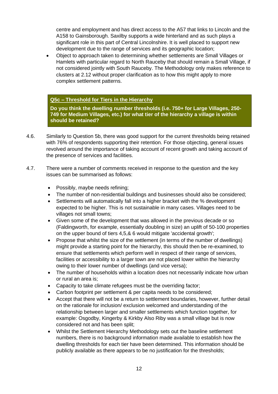centre and employment and has direct access to the A57 that links to Lincoln and the A158 to Gainsborough. Saxilby supports a wide hinterland and as such plays a significant role in this part of Central Lincolnshire. It is well placed to support new development due to the range of services and its geographic location;

• Object to approach taken to determining whether settlements are Small Villages or Hamlets with particular regard to North Rauceby that should remain a Small Village, if not considered jointly with South Rauceby. The Methodology only makes reference to clusters at 2.12 without proper clarification as to how this might apply to more complex settlement patterns.

#### **Q5c – Threshold for Tiers in the Hierarchy**

**Do you think the dwelling number thresholds (i.e. 750+ for Large Villages, 250- 749 for Medium Villages, etc.) for what tier of the hierarchy a village is within should be retained?** 

- 4.6. Similarly to Question 5b, there was good support for the current thresholds being retained with 76% of respondents supporting their retention. For those objecting, general issues revolved around the importance of taking account of recent growth and taking account of the presence of services and facilities.
- 4.7. There were a number of comments received in response to the question and the key issues can be summarised as follows:
	- Possibly, maybe needs refining;
	- The number of non-residential buildings and businesses should also be considered;
	- Settlements will automatically fall into a higher bracket with the % development expected to be higher. This is not sustainable in many cases. Villages need to be villages not small towns;
	- Given some of the development that was allowed in the previous decade or so (Faldingworth, for example, essentially doubling in size) an uplift of 50-100 properties on the upper bound of tiers 4,5,& 6 would mitigate 'accidental growth';
	- Propose that whilst the size of the settlement (in terms of the number of dwellings) might provide a starting point for the hierarchy, this should then be re-examined, to ensure that settlements which perform well in respect of their range of services, facilities or accessibility to a larger town are not placed lower within the hierarchy owing to their lower number of dwellings (and vice versa);
	- The number of households within a location does not necessarily indicate how urban or rural an area is;
	- Capacity to take climate refugees must be the overriding factor;
	- Carbon footprint per settlement & per capita needs to be considered;
	- Accept that there will not be a return to settlement boundaries, however, further detail on the rationale for inclusion/ exclusion welcomed and understanding of the relationship between larger and smaller settlements which function together, for example: Osgodby, Kingerby & Kirkby Also Riby was a small village but is now considered not and has been split;
	- Whilst the Settlement Hierarchy Methodology sets out the baseline settlement numbers, there is no background information made available to establish how the dwelling thresholds for each tier have been determined. This information should be publicly available as there appears to be no justification for the thresholds;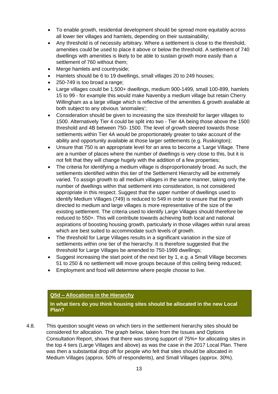- To enable growth, residential development should be spread more equitably across all lower tier villages and hamlets, depending on their sustainability;
- Any threshold is of necessity arbitrary. Where a settlement is close to the threshold, amenities could be used to place it above or below the threshold. A settlement of 740 dwellings with amenities is likely to be able to sustain growth more easily than a settlement of 760 without them;
- Merge hamlets and countryside;
- Hamlets should be 6 to 19 dwellings, small villages 20 to 249 houses;
- 250-749 is too broad a range;
- Large villages could be 1,500+ dwellings, medium 900-1499, small 100-899, hamlets 15 to 99 - for example this would make Navenby a medium village but retain Cherry Willingham as a large village which is reflective of the amenities & growth available at both subject to any obvious 'anomalies';
- Consideration should be given to increasing the size threshold for larger villages to 1500. Alternatively Tier 4 could be split into two - Tier 4A being those above the 1500 threshold and 4B between 750- 1500. The level of growth steered towards those settlements within Tier 4A would be proportionately greater to take account of the ability and opportunity available at those larger settlements (e.g. Ruskington);
- Unsure that 750 is an appropriate level for an area to become a 'Large Village. There are a number of places where the number of dwellings is very close to this, but it is not felt that they will change hugely with the addition of a few properties;
- The criteria for identifying a medium village is disproportionately broad. As such, the settlements identified within this tier of the Settlement Hierarchy will be extremely varied. To assign growth to all medium villages in the same manner, taking only the number of dwellings within that settlement into consideration, is not considered appropriate in this respect. Suggest that the upper number of dwellings used to identify Medium Villages (749) is reduced to 549 in order to ensure that the growth directed to medium and large villages is more representative of the size of the existing settlement. The criteria used to identify Large Villages should therefore be reduced to 550+. This will contribute towards achieving both local and national aspirations of boosting housing growth, particularly in those villages within rural areas which are best suited to accommodate such levels of growth.
- The threshold for Large Villages results in a significant variation in the size of settlements within one tier of the hierarchy. It is therefore suggested that the threshold for Large Villages be amended to 750-1999 dwellings;
- Suggest increasing the start point of the next tier by 1, e.g. a Small Village becomes 51 to 250 & no settlement will move groups because of this ceiling being reduced;
- Employment and food will determine where people choose to live.

#### **Q5d – Allocations in the Hierarchy**

**In what tiers do you think housing sites should be allocated in the new Local Plan?** 

4.8. This question sought views on which tiers in the settlement hierarchy sites should be considered for allocation. The graph below, taken from the Issues and Options Consultation Report, shows that there was strong support of 75%+ for allocating sites in the top 4 tiers (Large Villages and above) as was the case in the 2017 Local Plan. There was then a substantial drop off for people who felt that sites should be allocated in Medium Villages (approx. 50% of respondents), and Small Villages (approx. 30%).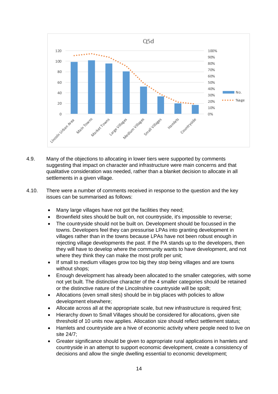

- 4.9. Many of the objections to allocating in lower tiers were supported by comments suggesting that impact on character and infrastructure were main concerns and that qualitative consideration was needed, rather than a blanket decision to allocate in all settlements in a given village.
- 4.10. There were a number of comments received in response to the question and the key issues can be summarised as follows:
	- Many large villages have not got the facilities they need;
	- Brownfield sites should be built on, not countryside, it's impossible to reverse;
	- The countryside should not be built on. Development should be focussed in the towns. Developers feel they can pressurise LPAs into granting development in villages rather than in the towns because LPAs have not been robust enough in rejecting village developments the past. If the PA stands up to the developers, then they will have to develop where the community wants to have development, and not where they think they can make the most profit per unit;
	- If small to medium villages grow too big they stop being villages and are towns without shops;
	- Enough development has already been allocated to the smaller categories, with some not yet built. The distinctive character of the 4 smaller categories should be retained or the distinctive nature of the Lincolnshire countryside will be spoilt;
	- Allocations (even small sites) should be in big places with policies to allow development elsewhere;
	- Allocate across all at the appropriate scale, but new infrastructure is required first;
	- Hierarchy down to Small Villages should be considered for allocations, given site threshold of 10 units now applies. Allocation size should reflect settlement status;
	- Hamlets and countryside are a hive of economic activity where people need to live on site 24/7;
	- Greater significance should be given to appropriate rural applications in hamlets and countryside in an attempt to support economic development, create a consistency of decisions and allow the single dwelling essential to economic development;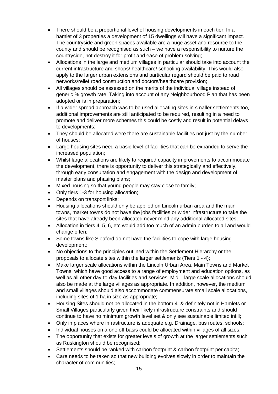- There should be a proportional level of housing developments in each tier: In a hamlet of 3 properties a development of 15 dwellings will have a significant impact. The countryside and green spaces available are a huge asset and resource to the county and should be recognised as such – we have a responsibility to nurture the countryside, not destroy it for profit and ease of problem solving;
- Allocations in the large and medium villages in particular should take into account the current infrastructure and shops/ healthcare/ schooling availability. This would also apply to the larger urban extensions and particular regard should be paid to road networks/relief road construction and doctors/healthcare provision;
- All villages should be assessed on the merits of the individual village instead of generic % growth rate. Taking into account of any Neighbourhood Plan that has been adopted or is in preparation;
- If a wider spread approach was to be used allocating sites in smaller settlements too, additional improvements are still anticipated to be required, resulting in a need to promote and deliver more schemes this could be costly and result in potential delays to developments;
- They should be allocated were there are sustainable facilities not just by the number of houses;
- Large housing sites need a basic level of facilities that can be expanded to serve the increased population;
- Whilst large allocations are likely to required capacity improvements to accommodate the development, there is opportunity to deliver this strategically and effectively, through early consultation and engagement with the design and development of master plans and phasing plans;
- Mixed housing so that young people may stay close to family;
- Only tiers 1-3 for housing allocation;
- Depends on transport links;
- Housing allocations should only be applied on Lincoln urban area and the main towns, market towns do not have the jobs facilities or wider infrastructure to take the sites that have already been allocated never mind any additional allocated sites;
- Allocation in tiers 4, 5, 6, etc would add too much of an admin burden to all and would change often;
- Some towns like Sleaford do not have the facilities to cope with large housing development;
- No objections to the principles outlined within the Settlement Hierarchy or the proposals to allocate sites within the larger settlements (Tiers 1 - 4);
- Make larger scale allocations within the Lincoln Urban Area, Main Towns and Market Towns, which have good access to a range of employment and education options, as well as all other day-to-day facilities and services. Mid – large scale allocations should also be made at the large villages as appropriate. In addition, however, the medium and small villages should also accommodate commensurate small scale allocations, including sites of 1 ha in size as appropriate;
- Housing Sites should not be allocated in the bottom 4. & definitely not in Hamlets or Small Villages particularly given their likely infrastructure constraints and should continue to have no minimum growth level set & only see sustainable limited infill;
- Only in places where infrastructure is adequate e.g. Drainage, bus routes, schools;
- Individual houses on a one off basis could be allocated within villages of all sizes;
- The opportunity that exists for greater levels of growth at the larger settlements such as Ruskington should be recognised;
- Settlements should be ranked with carbon footprint & carbon footprint per capita;
- Care needs to be taken so that new building evolves slowly in order to maintain the character of communities;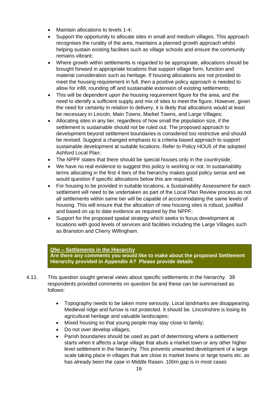- Maintain allocations to levels 1-4;
- Support the opportunity to allocate sites in small and medium villages. This approach recognises the rurality of the area, maintains a planned growth approach whilst helping sustain existing facilities such as village schools and ensure the community remains vibrant;
- Where growth within settlements is regarded to be appropriate, allocations should be brought forward in appropriate locations that support village form, function and material consideration such as heritage. If housing allocations are not provided to meet the housing requirement in full, then a positive policy approach is needed to allow for infill, rounding off and sustainable extension of existing settlements;
- This will be dependent upon the housing requirement figure for the area, and the need to identify a sufficient supply and mix of sites to meet the figure. However, given the need for certainty in relation to delivery, it is likely that allocations would at least be necessary in Lincoln, Main Towns, Market Towns, and Large Villages;
- Allocating sites in any tier, regardless of how small the population size, if the settlement is sustainable should not be ruled out. The proposed approach to development beyond settlement boundaries is considered too restrictive and should be revised. Suggest a changed emphasis to a criteria‐based approach to support sustainable development at suitable locations. Refer to Policy HOU5 of the adopted Ashford Local Plan;
- The NPPF states that there should be special houses only in the countryside;
- We have no real evidence to suggest this policy is working or not. In sustainability terms allocating in the first 4 tiers of the hierarchy makes good policy sense and we would question if specific allocations below this are required;
- For housing to be provided in suitable locations, a Sustainability Assessment for each settlement will need to be undertaken as part of the Local Plan Review process as not all settlements within same tier will be capable of accommodating the same levels of housing. This will ensure that the allocation of new housing sites is robust, justified and based on up to date evidence as required by the NPPF;
- Support for the proposed spatial strategy which seeks to focus development at locations with good levels of services and facilities including the Large Villages such as Branston and Cherry Willingham.

#### **Q5e – Settlements in the Hierarchy**

**Are there any comments you would like to make about the proposed Settlement Hierarchy provided in Appendix A? Please provide details**

- 4.11. This question sought general views about specific settlements in the hierarchy. 39 respondents provided comments on question 5e and these can be summarised as follows:
	- Topography needs to be taken more seriously. Local landmarks are disappearing. Medieval ridge and furrow is not protected. It should be. Lincolnshire is losing its agricultural heritage and valuable landscapes;
	- Mixed housing so that young people may stay close to family;
	- Do not over develop villages:
	- Parish boundaries should be used as part of determining where a settlement starts when it affects a large village that abuts a market town or any other higher level settlement in the hierarchy. This prevents unwanted development of a large scale taking place in villages that are close to market towns or large towns etc. as has already been the case in Middle Rasen. 100m gap is in most cases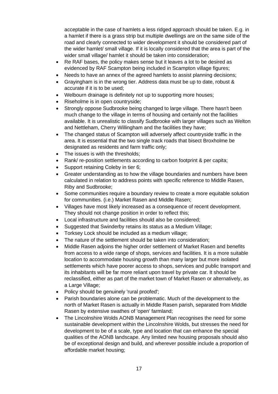acceptable in the case of hamlets a less ridged approach should be taken. E.g. in a hamlet if there is a grass strip but multiple dwellings are on the same side of the road and clearly connected to wider development it should be considered part of the wider hamlet/ small village. If it is locally considered that the area is part of the wider small village/ hamlet it should be taken into consideration;

- Re RAF bases, the policy makes sense but it leaves a lot to be desired as evidenced by RAF Scampton being included in Scampton village figures;
- Needs to have an annex of the agreed hamlets to assist planning decisions;
- Grayingham is in the wrong tier. Address data must be up to date, robust & accurate if it is to be used;
- Welbourn drainage is definitely not up to supporting more houses;
- Riseholme is in open countryside;
- Strongly oppose Sudbrooke being changed to large village. There hasn't been much change to the village in terms of housing and certainly not the facilities available. It is unrealistic to classify Sudbrooke with larger villages such as Welton and Nettleham, Cherry Willingham and the facilities they have;
- The changed status of Scampton will adversely affect countryside traffic in the area. It is essential that the two single track roads that bisect Broxholme be designated as residents and farm traffic only;
- The issues is with the thresholds:
- Rank/ re-position settlements according to carbon footprint & per capita;
- Support retaining Coleby in tier 6;
- Greater understanding as to how the village boundaries and numbers have been calculated in relation to address points with specific reference to Middle Rasen, Riby and Sudbrooke;
- Some communities require a boundary review to create a more equitable solution for communities. (i.e.) Market Rasen and Middle Rasen;
- Villages have most likely increased as a consequence of recent development. They should not change position in order to reflect this;
- Local infrastructure and facilities should also be considered;
- Suggested that Swinderby retains its status as a Medium Village;
- Torksey Lock should be included as a medium village;
- The nature of the settlement should be taken into consideration;
- Middle Rasen adjoins the higher order settlement of Market Rasen and benefits from access to a wide range of shops, services and facilities. It is a more suitable location to accommodate housing growth than many larger but more isolated settlements which have poorer access to shops, services and public transport and its inhabitants will be far more reliant upon travel by private car. It should be reclassified, either as part of the market town of Market Rasen or alternatively, as a Large Village;
- Policy should be genuinely 'rural proofed';
- Parish boundaries alone can be problematic. Much of the development to the north of Market Rasen is actually in Middle Rasen parish, separated from Middle Rasen by extensive swathes of 'open' farmland;
- The Lincolnshire Wolds AONB Management Plan recognises the need for some sustainable development within the Lincolnshire Wolds, but stresses the need for development to be of a scale, type and location that can enhance the special qualities of the AONB landscape. Any limited new housing proposals should also be of exceptional design and build, and wherever possible include a proportion of affordable market housing;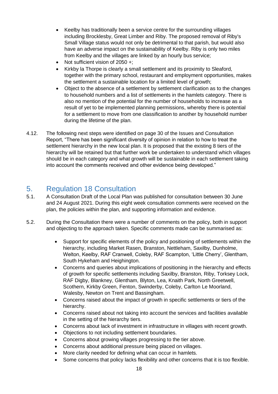- Keelby has traditionally been a service centre for the surrounding villages including Brocklesby, Great Limber and Riby. The proposed removal of Riby's Small Village status would not only be detrimental to that parish, but would also have an adverse impact on the sustainability of Keelby. Riby is only two miles from Keelby and the villages are linked by an hourly bus service;
- Not sufficient vision of  $2050 +$ :
- Kirkby la Thorpe is clearly a small settlement and its proximity to Sleaford, together with the primary school, restaurant and employment opportunities, makes the settlement a sustainable location for a limited level of growth;
- Object to the absence of a settlement by settlement clarification as to the changes to household numbers and a list of settlements in the hamlets category. There is also no mention of the potential for the number of households to increase as a result of yet to be implemented planning permissions, whereby there is potential for a settlement to move from one classification to another by household number during the lifetime of the plan.
- 4.12. The following next steps were identified on page 30 of the Issues and Consultation Report, "There has been significant diversity of opinion in relation to how to treat the settlement hierarchy in the new local plan. It is proposed that the existing 8 tiers of the hierarchy will be retained but that further work be undertaken to understand which villages should be in each category and what growth will be sustainable in each settlement taking into account the comments received and other evidence being developed."

# <span id="page-17-0"></span>5. Regulation 18 Consultation

- 5.1. A Consultation Draft of the Local Plan was published for consultation between 30 June and 24 August 2021. During this eight week consultation comments were received on the plan, the policies within the plan, and supporting information and evidence.
- 5.2. During the Consultation there were a number of comments on the policy, both in support and objecting to the approach taken. Specific comments made can be summarised as:
	- Support for specific elements of the policy and positioning of settlements within the hierarchy, including Market Rasen, Branston, Nettleham, Saxilby, Dunholme, Welton, Keelby, RAF Cranwell, Coleby, RAF Scampton, 'Little Cherry', Glentham, South Hykeham and Heighington.
	- Concerns and queries about implications of positioning in the hierarchy and effects of growth for specific settlements including Saxilby, Branston, Riby, Torksey Lock, RAF Digby, Blankney, Glentham, Blyton, Lea, Knaith Park, North Greetwell, Scothern, Kirkby Green, Fenton, Swinderby, Coleby, Carlton Le Moorland, Walesby, Newton on Trent and Bassingham.
	- Concerns raised about the impact of growth in specific settlements or tiers of the hierarchy.
	- Concerns raised about not taking into account the services and facilities available in the setting of the hierarchy tiers.
	- Concerns about lack of investment in infrastructure in villages with recent growth.
	- Objections to not including settlement boundaries.
	- Concerns about growing villages progressing to the tier above.
	- Concerns about additional pressure being placed on villages.
	- More clarity needed for defining what can occur in hamlets.
	- Some concerns that policy lacks flexibility and other concerns that it is too flexible.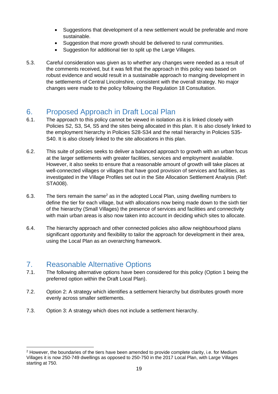- Suggestions that development of a new settlement would be preferable and more sustainable.
- Suggestion that more growth should be delivered to rural communities.
- Suggestion for additional tier to split up the Large Villages.
- 5.3. Careful consideration was given as to whether any changes were needed as a result of the comments received, but it was felt that the approach in this policy was based on robust evidence and would result in a sustainable approach to manging development in the settlements of Central Lincolnshire, consistent with the overall strategy. No major changes were made to the policy following the Regulation 18 Consultation.

# <span id="page-18-0"></span>6. Proposed Approach in Draft Local Plan

- 6.1. The approach to this policy cannot be viewed in isolation as it is linked closely with Policies S2, S3, S4, S5 and the sites being allocated in this plan. It is also closely linked to the employment hierarchy in Policies S28-S34 and the retail hierarchy in Policies S35- S40. It is also closely linked to the site allocations in this plan.
- 6.2. This suite of policies seeks to deliver a balanced approach to growth with an urban focus at the larger settlements with greater facilities, services and employment available. However, it also seeks to ensure that a reasonable amount of growth will take places at well-connected villages or villages that have good provision of services and facilities, as investigated in the Village Profiles set out in the Site Allocation Settlement Analysis (Ref: STA008).
- 6.3. The tiers remain the same<sup>2</sup> as in the adopted Local Plan, using dwelling numbers to define the tier for each village, but with allocations now being made down to the sixth tier of the hierarchy (Small Villages) the presence of services and facilities and connectivity with main urban areas is also now taken into account in deciding which sites to allocate.
- 6.4. The hierarchy approach and other connected policies also allow neighbourhood plans significant opportunity and flexibility to tailor the approach for development in their area, using the Local Plan as an overarching framework.

# <span id="page-18-1"></span>7. Reasonable Alternative Options

- 7.1. The following alternative options have been considered for this policy (Option 1 being the preferred option within the Draft Local Plan).
- 7.2. Option 2: A strategy which identifies a settlement hierarchy but distributes growth more evenly across smaller settlements.
- 7.3. Option 3: A strategy which does not include a settlement hierarchy.

<sup>&</sup>lt;sup>2</sup> However, the boundaries of the tiers have been amended to provide complete clarity, i.e. for Medium Villages it is now 250-749 dwellings as opposed to 250-750 in the 2017 Local Plan, with Large Villages starting at 750.